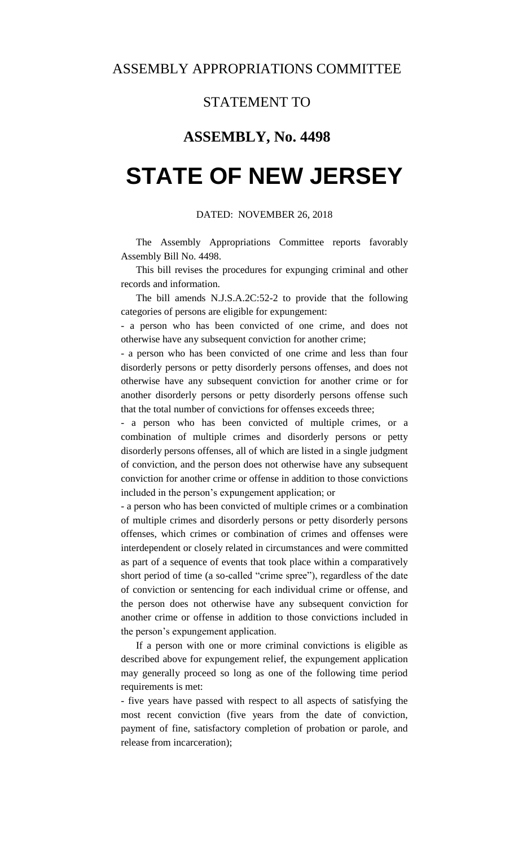### STATEMENT TO

## **ASSEMBLY, No. 4498**

# **STATE OF NEW JERSEY**

#### DATED: NOVEMBER 26, 2018

The Assembly Appropriations Committee reports favorably Assembly Bill No. 4498.

This bill revises the procedures for expunging criminal and other records and information.

The bill amends N.J.S.A.2C:52-2 to provide that the following categories of persons are eligible for expungement:

- a person who has been convicted of one crime, and does not otherwise have any subsequent conviction for another crime;

- a person who has been convicted of one crime and less than four disorderly persons or petty disorderly persons offenses, and does not otherwise have any subsequent conviction for another crime or for another disorderly persons or petty disorderly persons offense such that the total number of convictions for offenses exceeds three;

- a person who has been convicted of multiple crimes, or a combination of multiple crimes and disorderly persons or petty disorderly persons offenses, all of which are listed in a single judgment of conviction, and the person does not otherwise have any subsequent conviction for another crime or offense in addition to those convictions included in the person's expungement application; or

- a person who has been convicted of multiple crimes or a combination of multiple crimes and disorderly persons or petty disorderly persons offenses, which crimes or combination of crimes and offenses were interdependent or closely related in circumstances and were committed as part of a sequence of events that took place within a comparatively short period of time (a so-called "crime spree"), regardless of the date of conviction or sentencing for each individual crime or offense, and the person does not otherwise have any subsequent conviction for another crime or offense in addition to those convictions included in the person's expungement application.

If a person with one or more criminal convictions is eligible as described above for expungement relief, the expungement application may generally proceed so long as one of the following time period requirements is met:

- five years have passed with respect to all aspects of satisfying the most recent conviction (five years from the date of conviction, payment of fine, satisfactory completion of probation or parole, and release from incarceration);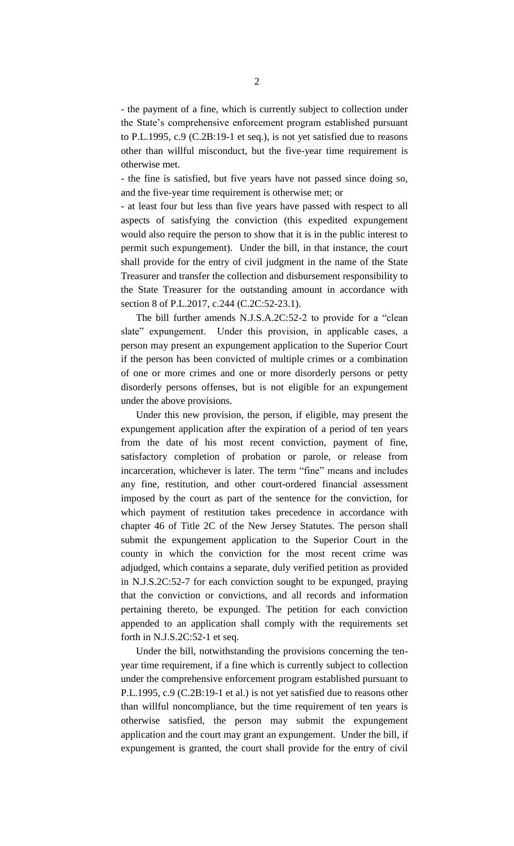- the payment of a fine, which is currently subject to collection under the State's comprehensive enforcement program established pursuant to P.L.1995, c.9 (C.2B:19-1 et seq.), is not yet satisfied due to reasons other than willful misconduct, but the five-year time requirement is otherwise met.

- the fine is satisfied, but five years have not passed since doing so, and the five-year time requirement is otherwise met; or

- at least four but less than five years have passed with respect to all aspects of satisfying the conviction (this expedited expungement would also require the person to show that it is in the public interest to permit such expungement). Under the bill, in that instance, the court shall provide for the entry of civil judgment in the name of the State Treasurer and transfer the collection and disbursement responsibility to the State Treasurer for the outstanding amount in accordance with section 8 of P.L.2017, c.244 (C.2C:52-23.1).

The bill further amends N.J.S.A.2C:52-2 to provide for a "clean slate" expungement. Under this provision, in applicable cases, a person may present an expungement application to the Superior Court if the person has been convicted of multiple crimes or a combination of one or more crimes and one or more disorderly persons or petty disorderly persons offenses, but is not eligible for an expungement under the above provisions.

Under this new provision, the person, if eligible, may present the expungement application after the expiration of a period of ten years from the date of his most recent conviction, payment of fine, satisfactory completion of probation or parole, or release from incarceration, whichever is later. The term "fine" means and includes any fine, restitution, and other court-ordered financial assessment imposed by the court as part of the sentence for the conviction, for which payment of restitution takes precedence in accordance with chapter 46 of Title 2C of the New Jersey Statutes. The person shall submit the expungement application to the Superior Court in the county in which the conviction for the most recent crime was adjudged, which contains a separate, duly verified petition as provided in N.J.S.2C:52-7 for each conviction sought to be expunged, praying that the conviction or convictions, and all records and information pertaining thereto, be expunged. The petition for each conviction appended to an application shall comply with the requirements set forth in N.J.S.2C:52-1 et seq.

Under the bill, notwithstanding the provisions concerning the tenyear time requirement, if a fine which is currently subject to collection under the comprehensive enforcement program established pursuant to P.L.1995, c.9 (C.2B:19-1 et al.) is not yet satisfied due to reasons other than willful noncompliance, but the time requirement of ten years is otherwise satisfied, the person may submit the expungement application and the court may grant an expungement. Under the bill, if expungement is granted, the court shall provide for the entry of civil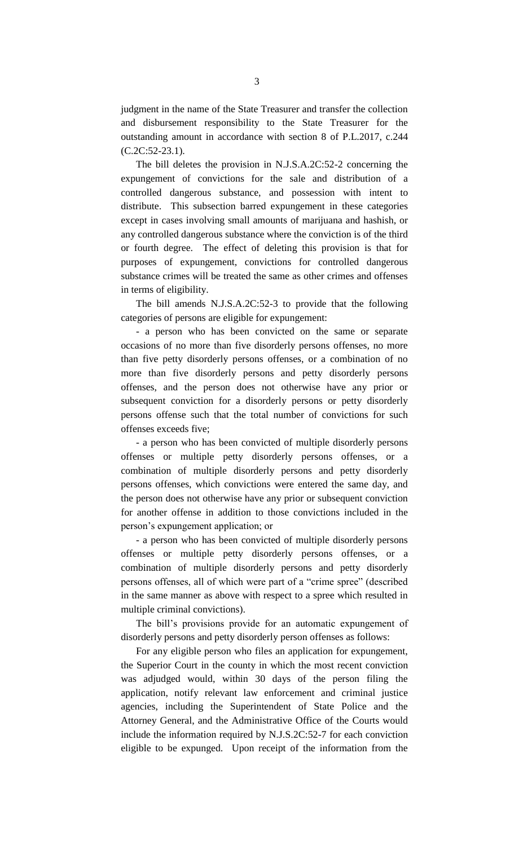judgment in the name of the State Treasurer and transfer the collection and disbursement responsibility to the State Treasurer for the outstanding amount in accordance with section 8 of P.L.2017, c.244 (C.2C:52-23.1).

The bill deletes the provision in N.J.S.A.2C:52-2 concerning the expungement of convictions for the sale and distribution of a controlled dangerous substance, and possession with intent to distribute. This subsection barred expungement in these categories except in cases involving small amounts of marijuana and hashish, or any controlled dangerous substance where the conviction is of the third or fourth degree. The effect of deleting this provision is that for purposes of expungement, convictions for controlled dangerous substance crimes will be treated the same as other crimes and offenses in terms of eligibility.

The bill amends N.J.S.A.2C:52-3 to provide that the following categories of persons are eligible for expungement:

- a person who has been convicted on the same or separate occasions of no more than five disorderly persons offenses, no more than five petty disorderly persons offenses, or a combination of no more than five disorderly persons and petty disorderly persons offenses, and the person does not otherwise have any prior or subsequent conviction for a disorderly persons or petty disorderly persons offense such that the total number of convictions for such offenses exceeds five;

- a person who has been convicted of multiple disorderly persons offenses or multiple petty disorderly persons offenses, or a combination of multiple disorderly persons and petty disorderly persons offenses, which convictions were entered the same day, and the person does not otherwise have any prior or subsequent conviction for another offense in addition to those convictions included in the person's expungement application; or

- a person who has been convicted of multiple disorderly persons offenses or multiple petty disorderly persons offenses, or a combination of multiple disorderly persons and petty disorderly persons offenses, all of which were part of a "crime spree" (described in the same manner as above with respect to a spree which resulted in multiple criminal convictions).

The bill's provisions provide for an automatic expungement of disorderly persons and petty disorderly person offenses as follows:

For any eligible person who files an application for expungement, the Superior Court in the county in which the most recent conviction was adjudged would, within 30 days of the person filing the application, notify relevant law enforcement and criminal justice agencies, including the Superintendent of State Police and the Attorney General, and the Administrative Office of the Courts would include the information required by N.J.S.2C:52-7 for each conviction eligible to be expunged. Upon receipt of the information from the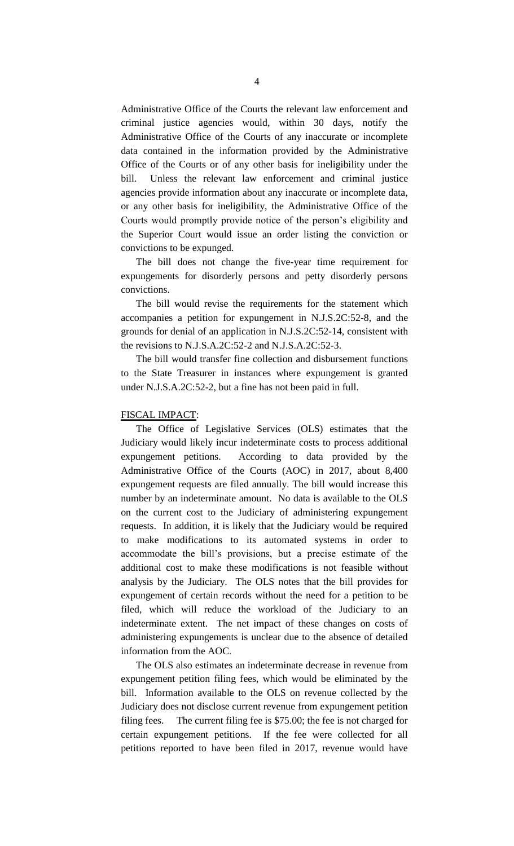Administrative Office of the Courts the relevant law enforcement and criminal justice agencies would, within 30 days, notify the Administrative Office of the Courts of any inaccurate or incomplete data contained in the information provided by the Administrative Office of the Courts or of any other basis for ineligibility under the bill. Unless the relevant law enforcement and criminal justice agencies provide information about any inaccurate or incomplete data, or any other basis for ineligibility, the Administrative Office of the Courts would promptly provide notice of the person's eligibility and the Superior Court would issue an order listing the conviction or convictions to be expunged.

The bill does not change the five-year time requirement for expungements for disorderly persons and petty disorderly persons convictions.

The bill would revise the requirements for the statement which accompanies a petition for expungement in N.J.S.2C:52-8, and the grounds for denial of an application in N.J.S.2C:52-14, consistent with the revisions to N.J.S.A.2C:52-2 and N.J.S.A.2C:52-3.

The bill would transfer fine collection and disbursement functions to the State Treasurer in instances where expungement is granted under N.J.S.A.2C:52-2, but a fine has not been paid in full.

### FISCAL IMPACT:

The Office of Legislative Services (OLS) estimates that the Judiciary would likely incur indeterminate costs to process additional expungement petitions. According to data provided by the Administrative Office of the Courts (AOC) in 2017, about 8,400 expungement requests are filed annually. The bill would increase this number by an indeterminate amount. No data is available to the OLS on the current cost to the Judiciary of administering expungement requests. In addition, it is likely that the Judiciary would be required to make modifications to its automated systems in order to accommodate the bill's provisions, but a precise estimate of the additional cost to make these modifications is not feasible without analysis by the Judiciary. The OLS notes that the bill provides for expungement of certain records without the need for a petition to be filed, which will reduce the workload of the Judiciary to an indeterminate extent. The net impact of these changes on costs of administering expungements is unclear due to the absence of detailed information from the AOC.

The OLS also estimates an indeterminate decrease in revenue from expungement petition filing fees, which would be eliminated by the bill. Information available to the OLS on revenue collected by the Judiciary does not disclose current revenue from expungement petition filing fees. The current filing fee is \$75.00; the fee is not charged for certain expungement petitions. If the fee were collected for all petitions reported to have been filed in 2017, revenue would have